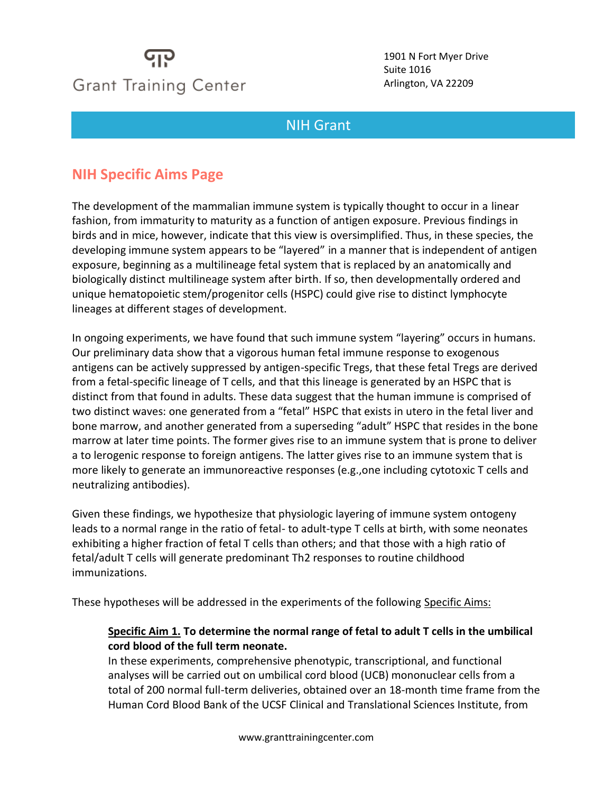# **Grant Training Center**

1901 N Fort Myer Drive Suite 1016 Arlington, VA 22209

### NIH [Grant](file://GTC_SHARED/Office/Directories/US%20General%20Directory%202016/Data/Sample%20Proposals/NYHallofScience2013.pdf%23page=1)

## **NIH Specific Aims Page**

Meet

The development of the mammalian immune system is typically thought to occur in a linear fashion, from immaturity to maturity as a function of antigen exposure. Previous findings in birds and in mice, however, indicate that this view is oversimplified. Thus, in these species, the developing immune system appears to be "layered" in a manner that is independent of antigen exposure, beginning as a multilineage fetal system that is replaced by an anatomically and biologically distinct multilineage system after birth. If so, then developmentally ordered and unique hematopoietic stem/progenitor cells (HSPC) could give rise to distinct lymphocyte lineages at different stages of development.

In ongoing experiments, we have found that such immune system "layering" occurs in humans. Our preliminary data show that a vigorous human fetal immune response to exogenous antigens can be actively suppressed by antigen-specific Tregs, that these fetal Tregs are derived from a fetal-specific lineage of T cells, and that this lineage is generated by an HSPC that is distinct from that found in adults. These data suggest that the human immune is comprised of two distinct waves: one generated from a "fetal" HSPC that exists in utero in the fetal liver and bone marrow, and another generated from a superseding "adult" HSPC that resides in the bone marrow at later time points. The former gives rise to an immune system that is prone to deliver a to lerogenic response to foreign antigens. The latter gives rise to an immune system that is more likely to generate an immunoreactive responses (e.g.,one including cytotoxic T cells and neutralizing antibodies).

Given these findings, we hypothesize that physiologic layering of immune system ontogeny leads to a normal range in the ratio of fetal- to adult-type T cells at birth, with some neonates exhibiting a higher fraction of fetal T cells than others; and that those with a high ratio of fetal/adult T cells will generate predominant Th2 responses to routine childhood immunizations.

These hypotheses will be addressed in the experiments of the following Specific Aims:

#### **Specific Aim 1. To determine the normal range of fetal to adult T cells in the umbilical cord blood of the full term neonate.**

In these experiments, comprehensive phenotypic, transcriptional, and functional analyses will be carried out on umbilical cord blood (UCB) mononuclear cells from a total of 200 normal full-term deliveries, obtained over an 18-month time frame from the Human Cord Blood Bank of the UCSF Clinical and Translational Sciences Institute, from